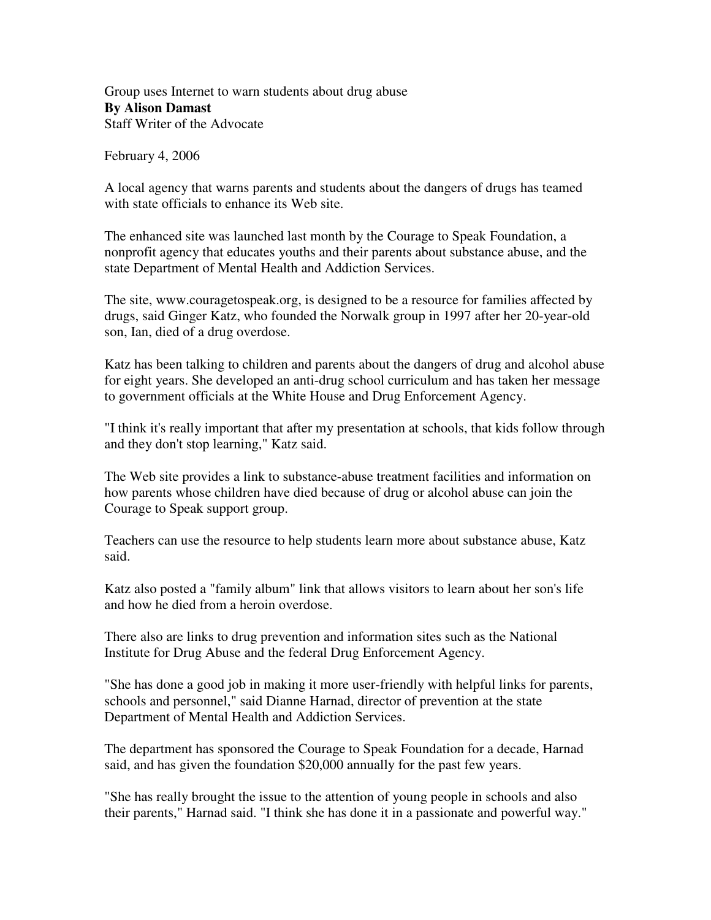Group uses Internet to warn students about drug abuse **By Alison Damast** Staff Writer of the Advocate

February 4, 2006

A local agency that warns parents and students about the dangers of drugs has teamed with state officials to enhance its Web site.

The enhanced site was launched last month by the Courage to Speak Foundation, a nonprofit agency that educates youths and their parents about substance abuse, and the state Department of Mental Health and Addiction Services.

The site, www.couragetospeak.org, is designed to be a resource for families affected by drugs, said Ginger Katz, who founded the Norwalk group in 1997 after her 20-year-old son, Ian, died of a drug overdose.

Katz has been talking to children and parents about the dangers of drug and alcohol abuse for eight years. She developed an anti-drug school curriculum and has taken her message to government officials at the White House and Drug Enforcement Agency.

"I think it's really important that after my presentation at schools, that kids follow through and they don't stop learning," Katz said.

The Web site provides a link to substance-abuse treatment facilities and information on how parents whose children have died because of drug or alcohol abuse can join the Courage to Speak support group.

Teachers can use the resource to help students learn more about substance abuse, Katz said.

Katz also posted a "family album" link that allows visitors to learn about her son's life and how he died from a heroin overdose.

There also are links to drug prevention and information sites such as the National Institute for Drug Abuse and the federal Drug Enforcement Agency.

"She has done a good job in making it more user-friendly with helpful links for parents, schools and personnel," said Dianne Harnad, director of prevention at the state Department of Mental Health and Addiction Services.

The department has sponsored the Courage to Speak Foundation for a decade, Harnad said, and has given the foundation \$20,000 annually for the past few years.

"She has really brought the issue to the attention of young people in schools and also their parents," Harnad said. "I think she has done it in a passionate and powerful way."